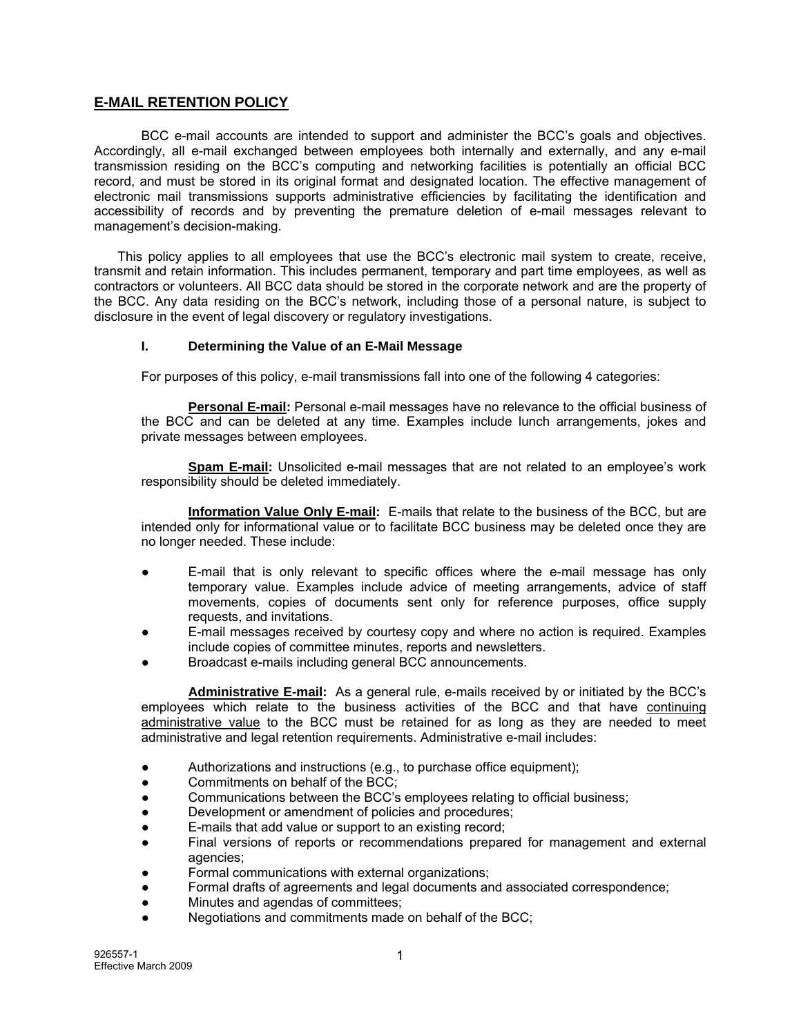# **E-MAIL RETENTION POLICY**

BCC e-mail accounts are intended to support and administer the BCC's goals and objectives. Accordingly, all e-mail exchanged between employees both internally and externally, and any e-mail transmission residing on the BCC's computing and networking facilities is potentially an official BCC record, and must be stored in its original format and designated location. The effective management of electronic mail transmissions supports administrative efficiencies by facilitating the identification and accessibility of records and by preventing the premature deletion of e-mail messages relevant to management's decision-making.

This policy applies to all employees that use the BCC's electronic mail system to create, receive, transmit and retain information. This includes permanent, temporary and part time employees, as well as contractors or volunteers. All BCC data should be stored in the corporate network and are the property of the BCC. Any data residing on the BCC's network, including those of a personal nature, is subject to disclosure in the event of legal discovery or regulatory investigations.

#### **I. Determining the Value of an E-Mail Message**

For purposes of this policy, e-mail transmissions fall into one of the following 4 categories:

**Personal E-mail:** Personal e-mail messages have no relevance to the official business of the BCC and can be deleted at any time. Examples include lunch arrangements, jokes and private messages between employees.

**Spam E-mail:** Unsolicited e-mail messages that are not related to an employee's work responsibility should be deleted immediately.

**Information Value Only E-mail:** E-mails that relate to the business of the BCC, but are intended only for informational value or to facilitate BCC business may be deleted once they are no longer needed. These include:

- $E$ -mail that is only relevant to specific offices where the e-mail message has only temporary value. Examples include advice of meeting arrangements, advice of staff movements, copies of documents sent only for reference purposes, office supply requests, and invitations.
- E-mail messages received by courtesy copy and where no action is required. Examples include copies of committee minutes, reports and newsletters.
- Broadcast e-mails including general BCC announcements.

**Administrative E-mail:** As a general rule, e-mails received by or initiated by the BCC's employees which relate to the business activities of the BCC and that have continuing administrative value to the BCC must be retained for as long as they are needed to meet administrative and legal retention requirements. Administrative e-mail includes:

- Authorizations and instructions (e.g., to purchase office equipment);
- Commitments on behalf of the BCC;
- Communications between the BCC's employees relating to official business;
- Development or amendment of policies and procedures;
- E-mails that add value or support to an existing record;
- Final versions of reports or recommendations prepared for management and external agencies;
- Formal communications with external organizations:
- Formal drafts of agreements and legal documents and associated correspondence;
- Minutes and agendas of committees;
- Negotiations and commitments made on behalf of the BCC;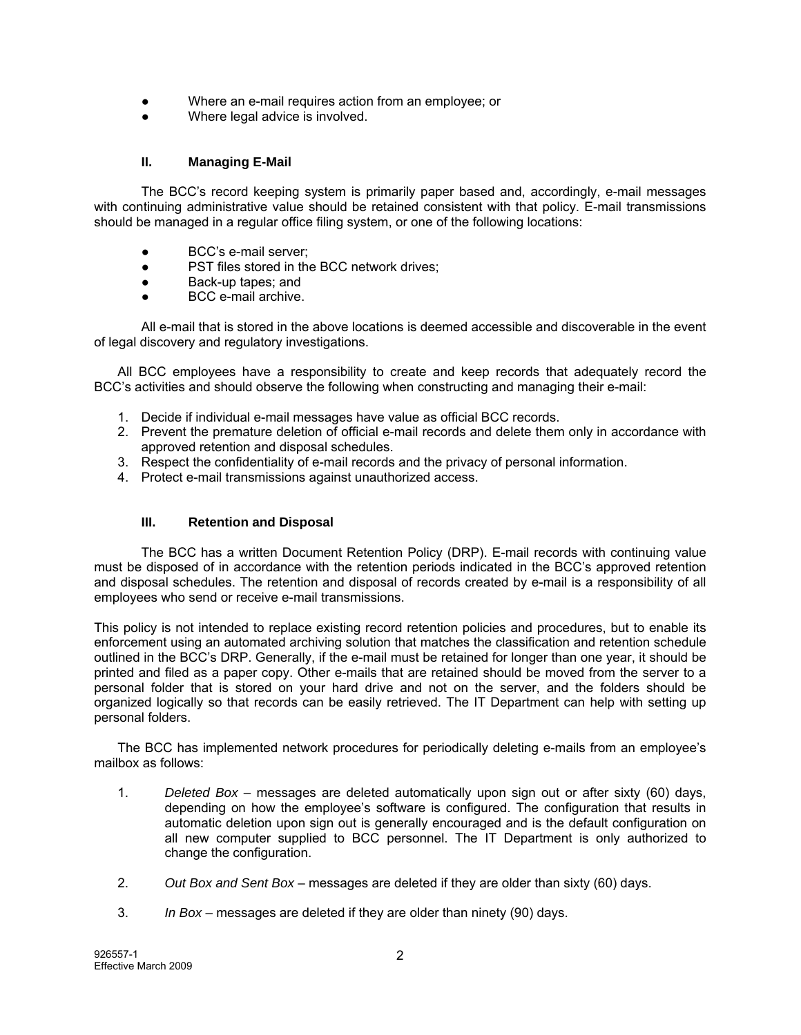- Where an e-mail requires action from an employee; or
- Where legal advice is involved.

# **II. Managing E-Mail**

The BCC's record keeping system is primarily paper based and, accordingly, e-mail messages with continuing administrative value should be retained consistent with that policy. E-mail transmissions should be managed in a regular office filing system, or one of the following locations:

- BCC's e-mail server;
- PST files stored in the BCC network drives;
- Back-up tapes; and
- BCC e-mail archive.

All e-mail that is stored in the above locations is deemed accessible and discoverable in the event of legal discovery and regulatory investigations.

All BCC employees have a responsibility to create and keep records that adequately record the BCC's activities and should observe the following when constructing and managing their e-mail:

- 1. Decide if individual e-mail messages have value as official BCC records.
- 2. Prevent the premature deletion of official e-mail records and delete them only in accordance with approved retention and disposal schedules.
- 3. Respect the confidentiality of e-mail records and the privacy of personal information.
- 4. Protect e-mail transmissions against unauthorized access.

#### **III. Retention and Disposal**

The BCC has a written Document Retention Policy (DRP). E-mail records with continuing value must be disposed of in accordance with the retention periods indicated in the BCC's approved retention and disposal schedules. The retention and disposal of records created by e-mail is a responsibility of all employees who send or receive e-mail transmissions.

This policy is not intended to replace existing record retention policies and procedures, but to enable its enforcement using an automated archiving solution that matches the classification and retention schedule outlined in the BCC's DRP. Generally, if the e-mail must be retained for longer than one year, it should be printed and filed as a paper copy. Other e-mails that are retained should be moved from the server to a personal folder that is stored on your hard drive and not on the server, and the folders should be organized logically so that records can be easily retrieved. The IT Department can help with setting up personal folders.

The BCC has implemented network procedures for periodically deleting e-mails from an employee's mailbox as follows:

- 1. *Deleted Box* messages are deleted automatically upon sign out or after sixty (60) days, depending on how the employee's software is configured. The configuration that results in automatic deletion upon sign out is generally encouraged and is the default configuration on all new computer supplied to BCC personnel. The IT Department is only authorized to change the configuration.
- 2. *Out Box and Sent Box*  messages are deleted if they are older than sixty (60) days.
- 3. *In Box*  messages are deleted if they are older than ninety (90) days.